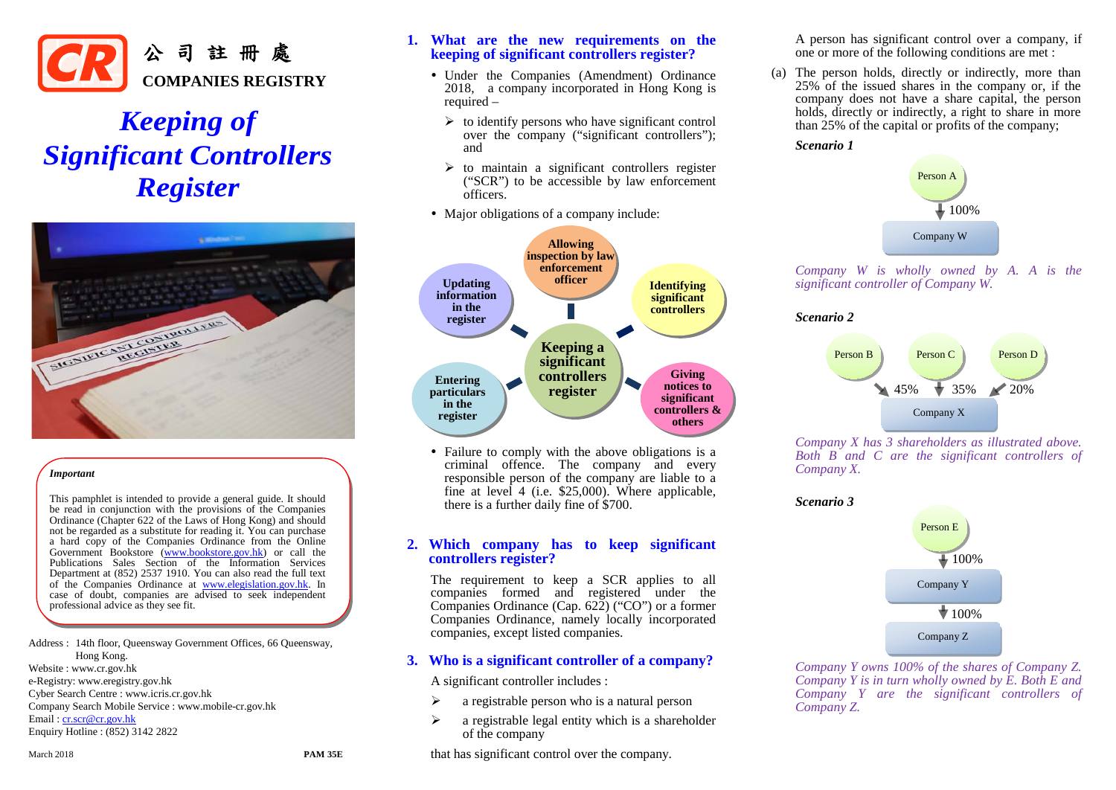

# *Keeping of Significant Controllers Register*



#### *Important*

This pamphlet is intended to provide a general guide. It should be read in conjunction with the provisions of the Companies Ordinance (Chapter 622 of the Laws of Hong Kong) and should not be regarded as a substitute for reading it. You can purchase a hard copy of the Companies Ordinance from the Online Government Bookstore [\(www.bookstore.gov.hk\)](http://www.bookstore.gov.hk/) or call the Publications Sales Section of the Information Services Department at (852) 2537 1910. You can also read the full text of the Companies Ordinance at [www.elegislation.gov.hk.](http://www.elegislation.gov.hk/) In case of doubt, companies are advised to seek independent professional advice as they see fit.

Address : 14th floor, Queensway Government Offices, 66 Queensway, Hong Kong. Website : www.cr.gov.hk e-Registry: www.eregistry.gov.hk Cyber Search Centre : www.icris.cr.gov.hk Company Search Mobile Service : www.mobile-cr.gov.hk Email [: cr.scr@cr.gov.hk](mailto:cr.scr@cr.gov.hk) Enquiry Hotline : (852) 3142 2822

# **1. What are the new requirements on the keeping of significant controllers register?**

- Under the Companies (Amendment) Ordinance 2018, a company incorporated in Hong Kong is required –
	- $\triangleright$  to identify persons who have significant control over the company ("significant controllers"); and
	- $\triangleright$  to maintain a significant controllers register ("SCR") to be accessible by law enforcement officers.
- Major obligations of a company include:



• Failure to comply with the above obligations is a criminal offence. The company and every responsible person of the company are liable to a fine at level 4 (i.e. \$25,000). Where applicable, there is a further daily fine of \$700.

# **2. Which company has to keep significant controllers register?**

The requirement to keep a SCR applies to all companies formed and registered under the Companies Ordinance (Cap. 622) ("CO") or a former Companies Ordinance, namely locally incorporated companies, except listed companies.

# **3. Who is a significant controller of a company?**

A significant controller includes :

- $\triangleright$  a registrable person who is a natural person
- $\triangleright$  a registrable legal entity which is a shareholder of the company
- that has significant control over the company.

A person has significant control over a company, if one or more of the following conditions are met :

(a) The person holds, directly or indirectly, more than 25% of the issued shares in the company or, if the company does not have a share capital, the person holds, directly or indirectly, a right to share in more than 25% of the capital or profits of the company;

#### *Scenario 1*



*Company W is wholly owned by A. A is the significant controller of Company W.*

#### *Scenario 2*



*Company X has 3 shareholders as illustrated above. Both B and C are the significant controllers of Company X.*

#### *Scenario 3*



*Company Y owns 100% of the shares of Company Z. Company Y is in turn wholly owned by E. Both E and Company Y are the significant controllers of Company Z.*